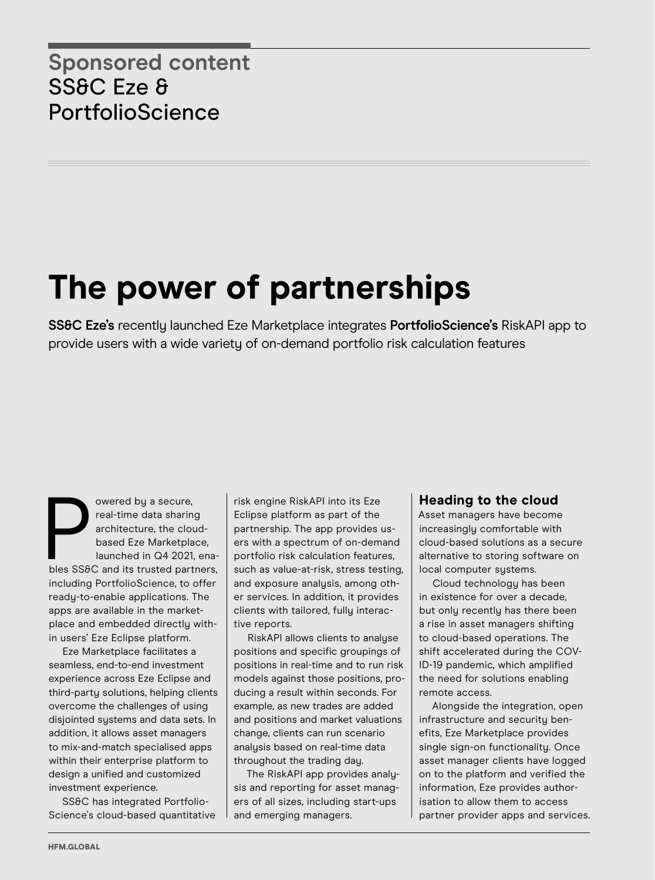## **The power of partnerships**

**SS&C Eze's** recently launched Eze Marketplace integrates **PortfolioScience's** RiskAPI app to provide users with a wide variety of on-demand portfolio risk calculation features

owered by a secure,<br>
real-time data sharing<br>
architecture, the cloud-<br>
based Eze Marketplace,<br>
launched in Q4 2021, ena-<br>
bles SS&C and its trusted partners, owered by a secure, real-time data sharing architecture, the cloudbased Eze Marketplace, launched in Q4 2021, enaincluding PortfolioScience, to offer ready-to-enable applications. The apps are available in the marketplace and embedded directly within users' Eze Eclipse platform.

Eze Marketplace facilitates a seamless, end-to-end investment experience across Eze Eclipse and third-party solutions, helping clients overcome the challenges of using disjointed systems and data sets. In addition, it allows asset managers to mix-and-match specialised apps within their enterprise platform to design a unified and customized investment experience.

SS&C has integrated Portfolio-Science's cloud-based quantitative risk engine RiskAPI into its Eze Eclipse platform as part of the partnership. The app provides users with a spectrum of on-demand portfolio risk calculation features, such as value-at-risk, stress testing, and exposure analysis, among other services. In addition, it provides clients with tailored, fully interactive reports.

RiskAPI allows clients to analyse positions and specific groupings of positions in real-time and to run risk models against those positions, producing a result within seconds. For example, as new trades are added and positions and market valuations change, clients can run scenario analysis based on real-time data throughout the trading day.

The RiskAPI app provides analysis and reporting for asset managers of all sizes, including start-ups and emerging managers.

## **Heading to the cloud**

Asset managers have become increasingly comfortable with cloud-based solutions as a secure alternative to storing software on local computer systems.

Cloud technology has been in existence for over a decade, but only recently has there been a rise in asset managers shifting to cloud-based operations. The shift accelerated during the COV-ID-19 pandemic, which amplified the need for solutions enabling remote access.

Alongside the integration, open infrastructure and security benefits, Eze Marketplace provides single sign-on functionality. Once asset manager clients have logged on to the platform and verified the information, Eze provides authorisation to allow them to access partner provider apps and services.